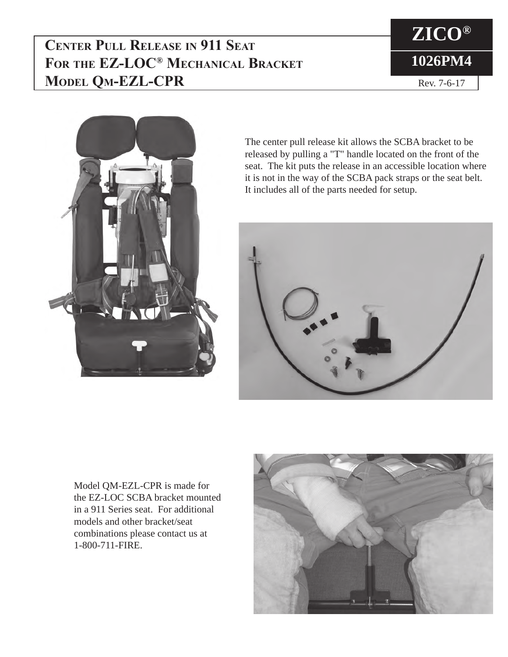**Center Pull Release in 911 Seat For the EZ-LOC® Mechanical Bracket Model Qm-EZL-CPR**





The center pull release kit allows the SCBA bracket to be released by pulling a "T" handle located on the front of the seat. The kit puts the release in an accessible location where it is not in the way of the SCBA pack straps or the seat belt. It includes all of the parts needed for setup.



Model QM-EZL-CPR is made for the EZ-LOC SCBA bracket mounted in a 911 Series seat. For additional models and other bracket/seat combinations please contact us at 1-800-711-FIRE.

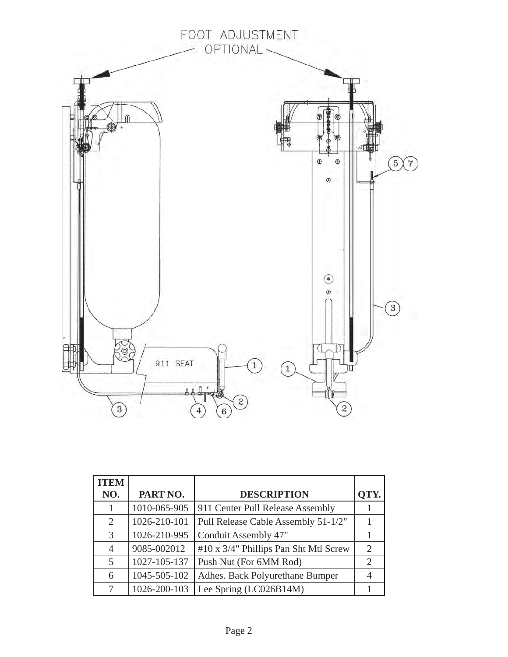

| <b>ITEM</b>    |              |                                       |                             |
|----------------|--------------|---------------------------------------|-----------------------------|
| NO.            | PART NO.     | <b>DESCRIPTION</b>                    |                             |
|                | 1010-065-905 | 911 Center Pull Release Assembly      |                             |
| 2              | 1026-210-101 | Pull Release Cable Assembly 51-1/2"   |                             |
| 3              | 1026-210-995 | Conduit Assembly 47"                  |                             |
| $\overline{4}$ | 9085-002012  | #10 x 3/4" Phillips Pan Sht Mtl Screw | $\mathcal{D}$               |
| 5              | 1027-105-137 | Push Nut (For 6MM Rod)                | $\mathcal{D}_{\mathcal{L}}$ |
| 6              | 1045-505-102 | Adhes. Back Polyurethane Bumper       |                             |
|                | 1026-200-103 | Lee Spring (LC026B14M)                |                             |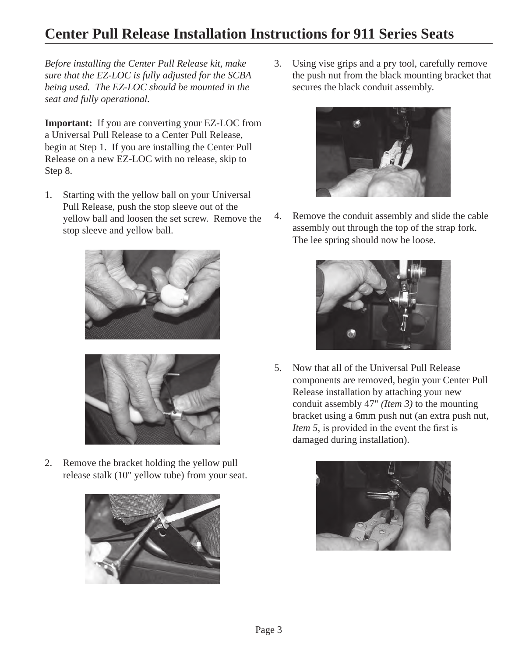## **Center Pull Release Installation Instructions for 911 Series Seats**

*Before installing the Center Pull Release kit, make sure that the EZ-LOC is fully adjusted for the SCBA being used. The EZ-LOC should be mounted in the seat and fully operational.*

**Important:** If you are converting your EZ-LOC from a Universal Pull Release to a Center Pull Release, begin at Step 1. If you are installing the Center Pull Release on a new EZ-LOC with no release, skip to Step 8.

1. Starting with the yellow ball on your Universal Pull Release, push the stop sleeve out of the yellow ball and loosen the set screw. Remove the stop sleeve and yellow ball.





2. Remove the bracket holding the yellow pull release stalk (10" yellow tube) from your seat.



3. Using vise grips and a pry tool, carefully remove the push nut from the black mounting bracket that secures the black conduit assembly.



4. Remove the conduit assembly and slide the cable assembly out through the top of the strap fork. The lee spring should now be loose.



5. Now that all of the Universal Pull Release components are removed, begin your Center Pull Release installation by attaching your new conduit assembly 47" *(Item 3)* to the mounting bracket using a 6mm push nut (an extra push nut, *Item 5*, is provided in the event the first is damaged during installation).

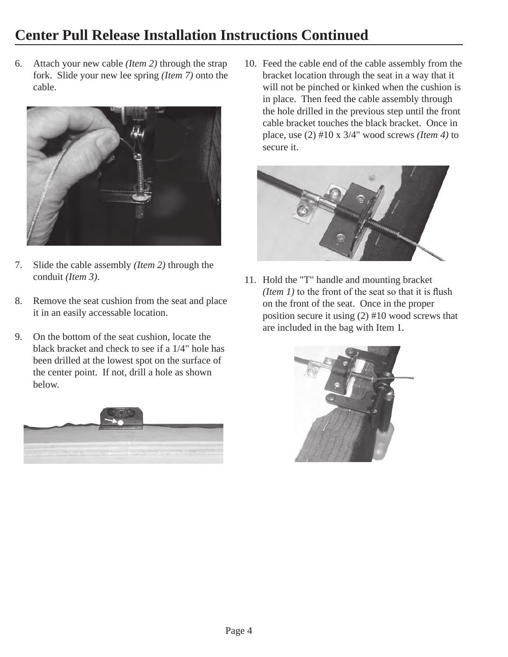## **Center Pull Release Installation Instructions Continued**

6. Attach your new cable *(Item 2)* through the strap fork. Slide your new lee spring *(Item 7)* onto the cable.



- 7. Slide the cable assembly *(Item 2)* through the conduit *(Item 3)*.
- 8. Remove the seat cushion from the seat and place it in an easily accessable location.
- 9. On the bottom of the seat cushion, locate the black bracket and check to see if a 1/4" hole has been drilled at the lowest spot on the surface of the center point. If not, drill a hole as shown below.



10. Feed the cable end of the cable assembly from the bracket location through the seat in a way that it will not be pinched or kinked when the cushion is in place. Then feed the cable assembly through the hole drilled in the previous step until the front cable bracket touches the black bracket. Once in place, use (2) #10 x 3/4" wood screws *(Item 4)* to secure it.



11. Hold the "T" handle and mounting bracket *(Item 1)* to the front of the seat so that it is flush on the front of the seat. Once in the proper position secure it using (2) #10 wood screws that are included in the bag with Item 1.